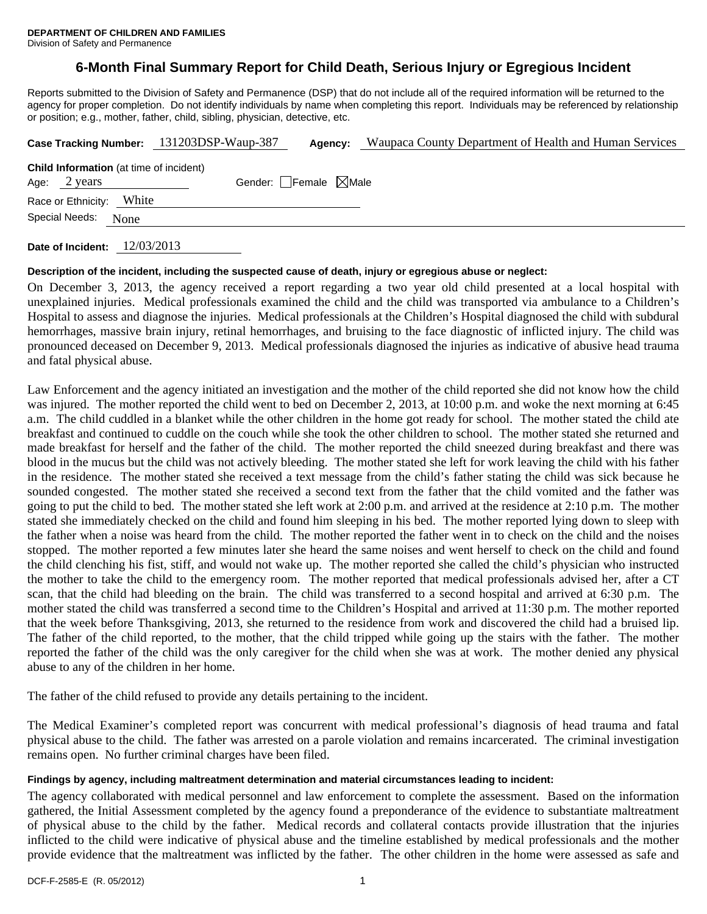# **6-Month Final Summary Report for Child Death, Serious Injury or Egregious Incident**

Reports submitted to the Division of Safety and Permanence (DSP) that do not include all of the required information will be returned to the agency for proper completion. Do not identify individuals by name when completing this report. Individuals may be referenced by relationship or position; e.g., mother, father, child, sibling, physician, detective, etc.

|                                                                |      | Case Tracking Number: 131203DSP-Waup-387 | Agency:                         | Waupaca County Department of Health and Human Services |
|----------------------------------------------------------------|------|------------------------------------------|---------------------------------|--------------------------------------------------------|
| <b>Child Information</b> (at time of incident)<br>Age: 2 years |      |                                          | Gender: Female $\boxtimes$ Male |                                                        |
| Race or Ethnicity: White                                       |      |                                          |                                 |                                                        |
| Special Needs:                                                 | None |                                          |                                 |                                                        |
|                                                                |      |                                          |                                 |                                                        |

**Date of Incident:** 12/03/2013

#### **Description of the incident, including the suspected cause of death, injury or egregious abuse or neglect:**

On December 3, 2013, the agency received a report regarding a two year old child presented at a local hospital with unexplained injuries. Medical professionals examined the child and the child was transported via ambulance to a Children's Hospital to assess and diagnose the injuries. Medical professionals at the Children's Hospital diagnosed the child with subdural hemorrhages, massive brain injury, retinal hemorrhages, and bruising to the face diagnostic of inflicted injury. The child was pronounced deceased on December 9, 2013. Medical professionals diagnosed the injuries as indicative of abusive head trauma and fatal physical abuse.

Law Enforcement and the agency initiated an investigation and the mother of the child reported she did not know how the child was injured. The mother reported the child went to bed on December 2, 2013, at 10:00 p.m. and woke the next morning at 6:45 a.m. The child cuddled in a blanket while the other children in the home got ready for school. The mother stated the child ate breakfast and continued to cuddle on the couch while she took the other children to school. The mother stated she returned and made breakfast for herself and the father of the child. The mother reported the child sneezed during breakfast and there was blood in the mucus but the child was not actively bleeding. The mother stated she left for work leaving the child with his father in the residence. The mother stated she received a text message from the child's father stating the child was sick because he sounded congested. The mother stated she received a second text from the father that the child vomited and the father was going to put the child to bed. The mother stated she left work at 2:00 p.m. and arrived at the residence at 2:10 p.m. The mother stated she immediately checked on the child and found him sleeping in his bed. The mother reported lying down to sleep with the father when a noise was heard from the child. The mother reported the father went in to check on the child and the noises stopped. The mother reported a few minutes later she heard the same noises and went herself to check on the child and found the child clenching his fist, stiff, and would not wake up. The mother reported she called the child's physician who instructed the mother to take the child to the emergency room. The mother reported that medical professionals advised her, after a CT scan, that the child had bleeding on the brain. The child was transferred to a second hospital and arrived at 6:30 p.m. The mother stated the child was transferred a second time to the Children's Hospital and arrived at 11:30 p.m. The mother reported that the week before Thanksgiving, 2013, she returned to the residence from work and discovered the child had a bruised lip. The father of the child reported, to the mother, that the child tripped while going up the stairs with the father. The mother reported the father of the child was the only caregiver for the child when she was at work. The mother denied any physical abuse to any of the children in her home.

The father of the child refused to provide any details pertaining to the incident.

The Medical Examiner's completed report was concurrent with medical professional's diagnosis of head trauma and fatal physical abuse to the child. The father was arrested on a parole violation and remains incarcerated. The criminal investigation remains open. No further criminal charges have been filed.

#### **Findings by agency, including maltreatment determination and material circumstances leading to incident:**

The agency collaborated with medical personnel and law enforcement to complete the assessment. Based on the information gathered, the Initial Assessment completed by the agency found a preponderance of the evidence to substantiate maltreatment of physical abuse to the child by the father. Medical records and collateral contacts provide illustration that the injuries inflicted to the child were indicative of physical abuse and the timeline established by medical professionals and the mother provide evidence that the maltreatment was inflicted by the father. The other children in the home were assessed as safe and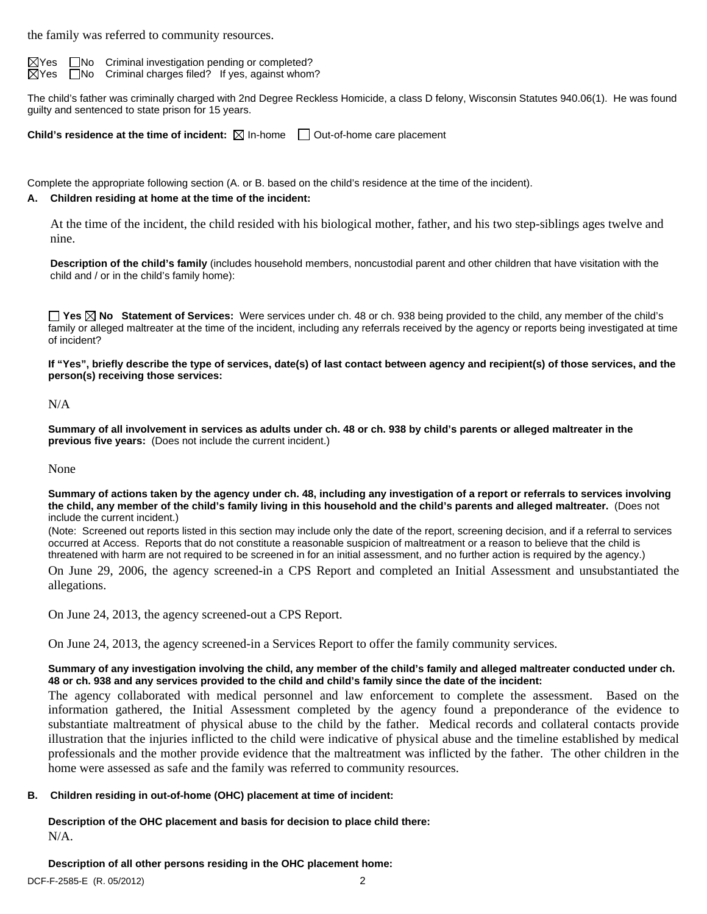the family was referred to community resources.

 $\boxtimes$ Yes  $\Box$ No Criminal investigation pending or completed?  $\boxtimes$  Yes  $\Box$  No Criminal charges filed? If yes, against whom?

The child's father was criminally charged with 2nd Degree Reckless Homicide, a class D felony, Wisconsin Statutes 940.06(1). He was found guilty and sentenced to state prison for 15 years.

**Child's residence at the time of incident:**  $\boxtimes$  In-home  $\Box$  Out-of-home care placement

Complete the appropriate following section (A. or B. based on the child's residence at the time of the incident).

#### **A. Children residing at home at the time of the incident:**

At the time of the incident, the child resided with his biological mother, father, and his two step-siblings ages twelve and nine.

**Description of the child's family** (includes household members, noncustodial parent and other children that have visitation with the child and / or in the child's family home):

**Yes No Statement of Services:** Were services under ch. 48 or ch. 938 being provided to the child, any member of the child's family or alleged maltreater at the time of the incident, including any referrals received by the agency or reports being investigated at time of incident?

**If "Yes", briefly describe the type of services, date(s) of last contact between agency and recipient(s) of those services, and the person(s) receiving those services:** 

N/A

**Summary of all involvement in services as adults under ch. 48 or ch. 938 by child's parents or alleged maltreater in the previous five years:** (Does not include the current incident.)

None

**Summary of actions taken by the agency under ch. 48, including any investigation of a report or referrals to services involving the child, any member of the child's family living in this household and the child's parents and alleged maltreater.** (Does not include the current incident.)

(Note: Screened out reports listed in this section may include only the date of the report, screening decision, and if a referral to services occurred at Access. Reports that do not constitute a reasonable suspicion of maltreatment or a reason to believe that the child is threatened with harm are not required to be screened in for an initial assessment, and no further action is required by the agency.)

On June 29, 2006, the agency screened-in a CPS Report and completed an Initial Assessment and unsubstantiated the allegations.

On June 24, 2013, the agency screened-out a CPS Report.

On June 24, 2013, the agency screened-in a Services Report to offer the family community services.

#### **Summary of any investigation involving the child, any member of the child's family and alleged maltreater conducted under ch. 48 or ch. 938 and any services provided to the child and child's family since the date of the incident:**

The agency collaborated with medical personnel and law enforcement to complete the assessment. Based on the information gathered, the Initial Assessment completed by the agency found a preponderance of the evidence to substantiate maltreatment of physical abuse to the child by the father. Medical records and collateral contacts provide illustration that the injuries inflicted to the child were indicative of physical abuse and the timeline established by medical professionals and the mother provide evidence that the maltreatment was inflicted by the father. The other children in the home were assessed as safe and the family was referred to community resources.

#### **B. Children residing in out-of-home (OHC) placement at time of incident:**

**Description of the OHC placement and basis for decision to place child there:**  N/A.

**Description of all other persons residing in the OHC placement home:**